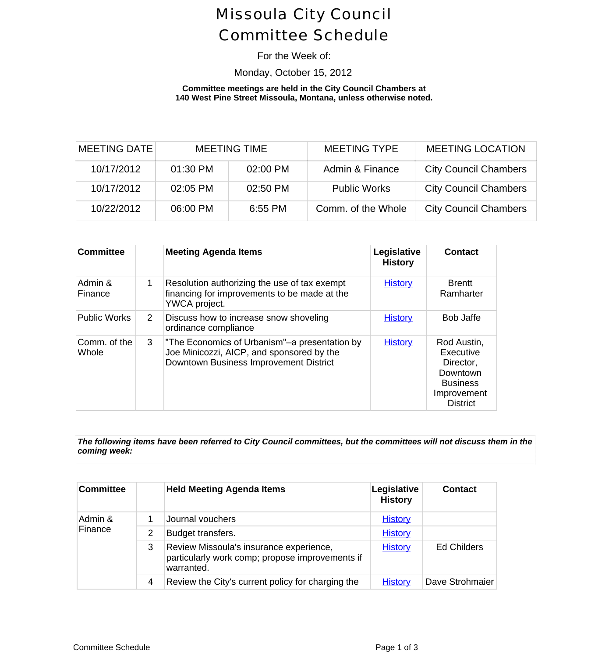# Missoula City Council Committee Schedule

### For the Week of:

## Monday, October 15, 2012

#### **Committee meetings are held in the City Council Chambers at 140 West Pine Street Missoula, Montana, unless otherwise noted.**

| <b>MEETING DATE</b> |          | <b>MEETING TIME</b> | <b>MEETING TYPE</b> | <b>MEETING LOCAT</b>     |
|---------------------|----------|---------------------|---------------------|--------------------------|
| 10/17/2012          | 01:30 PM | 02:00 PM            | Admin & Finance     | <b>City Council Cham</b> |
| 10/17/2012          | 02:05 PM | 02:50 PM            | <b>Public Works</b> | <b>City Council Cham</b> |
| 10/22/2012          | 06:00 PM | $6:55$ PM           | Comm. of the Whole  | <b>City Council Cham</b> |

| <b>Committee</b>      |                       | <b>Meeting Agenda Items</b>                                                                                                         | Legislative<br><b>History</b> | <b>Contact</b>                                                                                         |
|-----------------------|-----------------------|-------------------------------------------------------------------------------------------------------------------------------------|-------------------------------|--------------------------------------------------------------------------------------------------------|
| Admin &<br>Finance    | 1                     | Resolution authorizing the use of tax exempt<br>financing for improvements to be made at the<br>YWCA project.                       | <b>History</b>                | <b>Brentt</b><br>Ramharter                                                                             |
| <b>Public Works</b>   | $\mathbf{2}^{\prime}$ | Discuss how to increase snow shoveling<br>ordinance compliance                                                                      | <b>History</b>                | <b>Bob Jaffe</b>                                                                                       |
| Comm. of the<br>Whole | 3                     | The Economics of Urbanism"-a presentation by<br>Joe Minicozzi, AICP, and sponsored by the<br>Downtown Business Improvement District | <b>History</b>                | Rod Austin,<br>Executive<br>Director,<br>Downtown<br><b>Business</b><br>Improvement<br><b>District</b> |

The following items have been referred to City Council committees, but the committees will not discuss them *coming week:*

| <b>Committee</b>   |   | <b>Held Meeting Agenda Items</b>                                                                         | Legislative<br><b>History</b> | <b>Contact</b>     |
|--------------------|---|----------------------------------------------------------------------------------------------------------|-------------------------------|--------------------|
| Admin &<br>Finance |   | Journal vouchers                                                                                         | <b>History</b>                |                    |
|                    | 2 | Budget transfers.                                                                                        | <b>History</b>                |                    |
|                    | 3 | Review Missoula's insurance experience,<br>particularly work comp; propose improvements if<br>warranted. | <b>History</b>                | <b>Ed Childers</b> |
|                    | 4 | Review the City's current policy for charging the                                                        | <b>History</b>                | Dave Strohmaier    |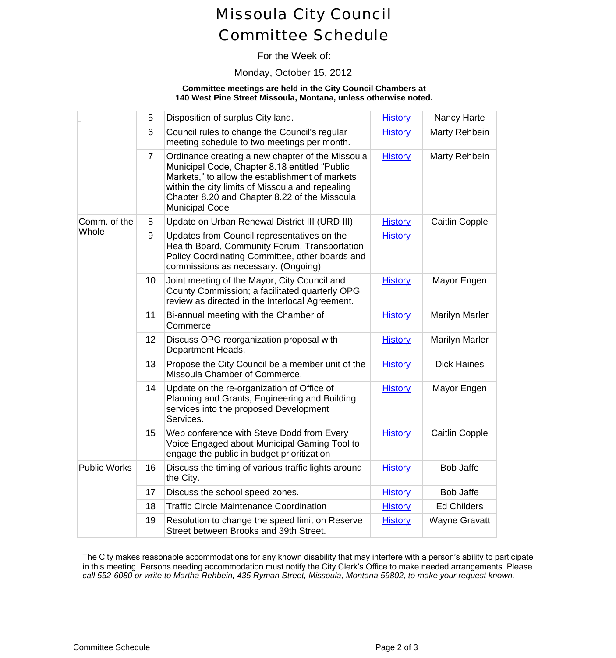# Missoula City Council Committee Schedule

## For the Week of:

#### Monday, October 15, 2012

#### **Committee meetings are held in the City Council Chambers at 140 West Pine Street Missoula, Montana, unless otherwise noted.**

|                       | 5              | Disposition of surplus City land.                                                                                                                                                                                                                                                  | <b>History</b> | Nancy Harte           |
|-----------------------|----------------|------------------------------------------------------------------------------------------------------------------------------------------------------------------------------------------------------------------------------------------------------------------------------------|----------------|-----------------------|
|                       | 6              | Council rules to change the Council's regular<br>meeting schedule to two meetings per month.                                                                                                                                                                                       | <b>History</b> | Marty Rehbein         |
|                       | $\overline{7}$ | Ordinance creating a new chapter of the Missoula<br>Municipal Code, Chapter 8.18 entitled "Public<br>Markets," to allow the establishment of markets<br>within the city limits of Missoula and repealing<br>Chapter 8.20 and Chapter 8.22 of the Missoula<br><b>Municipal Code</b> | <b>History</b> | Marty Rehbein         |
| Comm. of the<br>Whole | 8              | Update on Urban Renewal District III (URD III)                                                                                                                                                                                                                                     | <b>History</b> | Caitlin Copple        |
|                       | 9              | Updates from Council representatives on the<br>Health Board, Community Forum, Transportation<br>Policy Coordinating Committee, other boards and<br>commissions as necessary. (Ongoing)                                                                                             | <b>History</b> |                       |
|                       | 10             | Joint meeting of the Mayor, City Council and<br>County Commission; a facilitated quarterly OPG<br>review as directed in the Interlocal Agreement.                                                                                                                                  | <b>History</b> | Mayor Engen           |
|                       | 11             | Bi-annual meeting with the Chamber of<br>Commerce                                                                                                                                                                                                                                  | <b>History</b> | <b>Marilyn Marler</b> |
|                       | 12             | Discuss OPG reorganization proposal with<br>Department Heads.                                                                                                                                                                                                                      | <b>History</b> | <b>Marilyn Marler</b> |
|                       | 13             | Propose the City Council be a member unit of the<br>Missoula Chamber of Commerce.                                                                                                                                                                                                  | <b>History</b> | <b>Dick Haines</b>    |
|                       | 14             | Update on the re-organization of Office of<br>Planning and Grants, Engineering and Building<br>services into the proposed Development<br>Services.                                                                                                                                 | <b>History</b> | Mayor Engen           |
|                       | 15             | Web conference with Steve Dodd from Every<br>Voice Engaged about Municipal Gaming Tool to<br>engage the public in budget prioritization                                                                                                                                            | <b>History</b> | <b>Caitlin Copple</b> |
| <b>Public Works</b>   | 16             | Discuss the timing of various traffic lights around<br>the City.                                                                                                                                                                                                                   | <b>History</b> | <b>Bob Jaffe</b>      |
|                       | 17             | Discuss the school speed zones.                                                                                                                                                                                                                                                    | <b>History</b> | <b>Bob Jaffe</b>      |
|                       | 18             | <b>Traffic Circle Maintenance Coordination</b>                                                                                                                                                                                                                                     | <b>History</b> | <b>Ed Childers</b>    |
|                       | 19             | Resolution to change the speed limit on Reserve<br>Street between Brooks and 39th Street.                                                                                                                                                                                          | <b>History</b> | <b>Wayne Gravatt</b>  |

The City makes reasonable accommodations for any known disability that may interfere with a person's ability to par in this meeting. Persons needing accommodation must notify the City Clerk's Office to make needed arrangements. call 552-6080 or write to Martha Rehbein, 435 Ryman Street, Missoula, Montana 59802, to make your request know